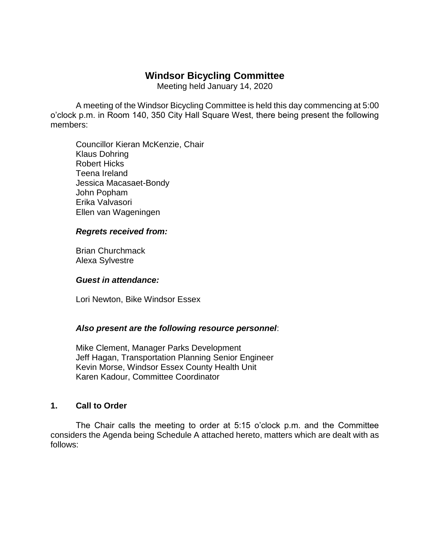# **Windsor Bicycling Committee**

Meeting held January 14, 2020

A meeting of the Windsor Bicycling Committee is held this day commencing at 5:00 o'clock p.m. in Room 140, 350 City Hall Square West, there being present the following members:

Councillor Kieran McKenzie, Chair Klaus Dohring Robert Hicks Teena Ireland Jessica Macasaet-Bondy John Popham Erika Valvasori Ellen van Wageningen

#### *Regrets received from:*

Brian Churchmack Alexa Sylvestre

#### *Guest in attendance:*

Lori Newton, Bike Windsor Essex

#### *Also present are the following resource personnel*:

Mike Clement, Manager Parks Development Jeff Hagan, Transportation Planning Senior Engineer Kevin Morse, Windsor Essex County Health Unit Karen Kadour, Committee Coordinator

#### **1. Call to Order**

The Chair calls the meeting to order at 5:15 o'clock p.m. and the Committee considers the Agenda being Schedule A attached hereto, matters which are dealt with as follows: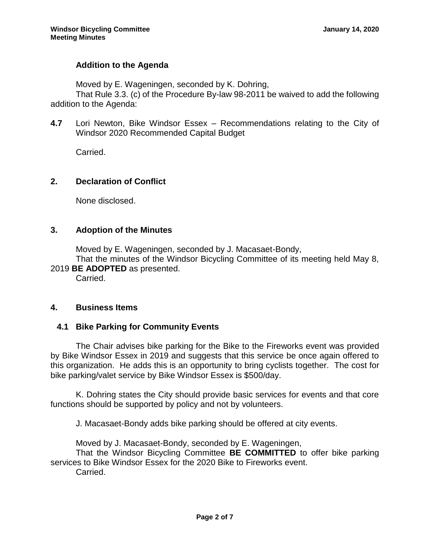# **Addition to the Agenda**

Moved by E. Wageningen, seconded by K. Dohring,

That Rule 3.3. (c) of the Procedure By-law 98-2011 be waived to add the following addition to the Agenda:

**4.7** Lori Newton, Bike Windsor Essex – Recommendations relating to the City of Windsor 2020 Recommended Capital Budget

Carried.

### **2. Declaration of Conflict**

None disclosed.

### **3. Adoption of the Minutes**

Moved by E. Wageningen, seconded by J. Macasaet-Bondy,

That the minutes of the Windsor Bicycling Committee of its meeting held May 8, 2019 **BE ADOPTED** as presented.

Carried.

#### **4. Business Items**

# **4.1 Bike Parking for Community Events**

The Chair advises bike parking for the Bike to the Fireworks event was provided by Bike Windsor Essex in 2019 and suggests that this service be once again offered to this organization. He adds this is an opportunity to bring cyclists together. The cost for bike parking/valet service by Bike Windsor Essex is \$500/day.

K. Dohring states the City should provide basic services for events and that core functions should be supported by policy and not by volunteers.

J. Macasaet-Bondy adds bike parking should be offered at city events.

Moved by J. Macasaet-Bondy, seconded by E. Wageningen,

That the Windsor Bicycling Committee **BE COMMITTED** to offer bike parking services to Bike Windsor Essex for the 2020 Bike to Fireworks event.

Carried.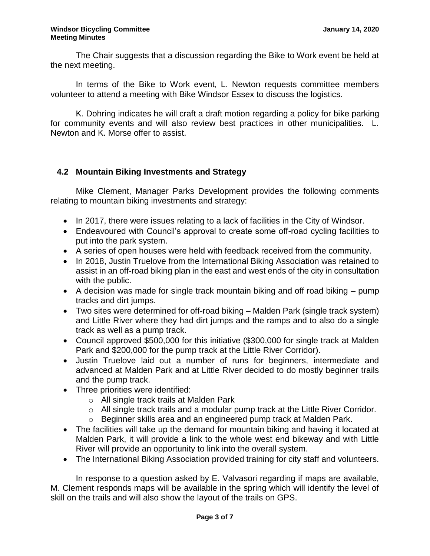The Chair suggests that a discussion regarding the Bike to Work event be held at the next meeting.

In terms of the Bike to Work event, L. Newton requests committee members volunteer to attend a meeting with Bike Windsor Essex to discuss the logistics.

K. Dohring indicates he will craft a draft motion regarding a policy for bike parking for community events and will also review best practices in other municipalities. L. Newton and K. Morse offer to assist.

### **4.2 Mountain Biking Investments and Strategy**

Mike Clement, Manager Parks Development provides the following comments relating to mountain biking investments and strategy:

- In 2017, there were issues relating to a lack of facilities in the City of Windsor.
- Endeavoured with Council's approval to create some off-road cycling facilities to put into the park system.
- A series of open houses were held with feedback received from the community.
- In 2018, Justin Truelove from the International Biking Association was retained to assist in an off-road biking plan in the east and west ends of the city in consultation with the public.
- $\bullet$  A decision was made for single track mountain biking and off road biking  $-$  pump tracks and dirt jumps.
- Two sites were determined for off-road biking Malden Park (single track system) and Little River where they had dirt jumps and the ramps and to also do a single track as well as a pump track.
- Council approved \$500,000 for this initiative (\$300,000 for single track at Malden Park and \$200,000 for the pump track at the Little River Corridor).
- Justin Truelove laid out a number of runs for beginners, intermediate and advanced at Malden Park and at Little River decided to do mostly beginner trails and the pump track.
- Three priorities were identified:
	- o All single track trails at Malden Park
	- o All single track trails and a modular pump track at the Little River Corridor.
	- o Beginner skills area and an engineered pump track at Malden Park.
- The facilities will take up the demand for mountain biking and having it located at Malden Park, it will provide a link to the whole west end bikeway and with Little River will provide an opportunity to link into the overall system.
- The International Biking Association provided training for city staff and volunteers.

In response to a question asked by E. Valvasori regarding if maps are available, M. Clement responds maps will be available in the spring which will identify the level of skill on the trails and will also show the layout of the trails on GPS.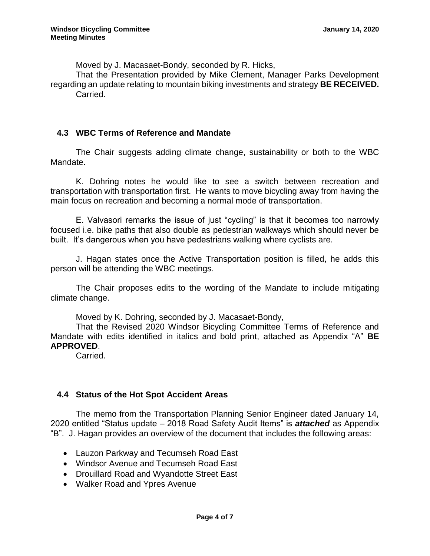Moved by J. Macasaet-Bondy, seconded by R. Hicks,

That the Presentation provided by Mike Clement, Manager Parks Development regarding an update relating to mountain biking investments and strategy **BE RECEIVED.** Carried.

### **4.3 WBC Terms of Reference and Mandate**

The Chair suggests adding climate change, sustainability or both to the WBC Mandate.

K. Dohring notes he would like to see a switch between recreation and transportation with transportation first. He wants to move bicycling away from having the main focus on recreation and becoming a normal mode of transportation.

E. Valvasori remarks the issue of just "cycling" is that it becomes too narrowly focused i.e. bike paths that also double as pedestrian walkways which should never be built. It's dangerous when you have pedestrians walking where cyclists are.

J. Hagan states once the Active Transportation position is filled, he adds this person will be attending the WBC meetings.

The Chair proposes edits to the wording of the Mandate to include mitigating climate change.

Moved by K. Dohring, seconded by J. Macasaet-Bondy,

That the Revised 2020 Windsor Bicycling Committee Terms of Reference and Mandate with edits identified in italics and bold print, attached as Appendix "A" **BE APPROVED**.

Carried.

#### **4.4 Status of the Hot Spot Accident Areas**

The memo from the Transportation Planning Senior Engineer dated January 14, 2020 entitled "Status update – 2018 Road Safety Audit Items" is *attached* as Appendix "B". J. Hagan provides an overview of the document that includes the following areas:

- Lauzon Parkway and Tecumseh Road East
- Windsor Avenue and Tecumseh Road East
- Drouillard Road and Wyandotte Street East
- Walker Road and Ypres Avenue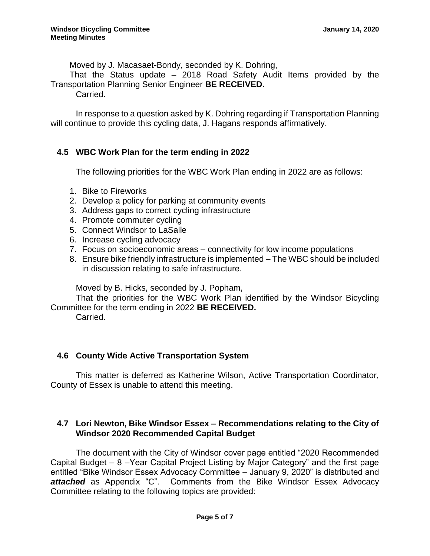Moved by J. Macasaet-Bondy, seconded by K. Dohring,

That the Status update – 2018 Road Safety Audit Items provided by the Transportation Planning Senior Engineer **BE RECEIVED.**

Carried.

In response to a question asked by K. Dohring regarding if Transportation Planning will continue to provide this cycling data, J. Hagans responds affirmatively.

### **4.5 WBC Work Plan for the term ending in 2022**

The following priorities for the WBC Work Plan ending in 2022 are as follows:

- 1. Bike to Fireworks
- 2. Develop a policy for parking at community events
- 3. Address gaps to correct cycling infrastructure
- 4. Promote commuter cycling
- 5. Connect Windsor to LaSalle
- 6. Increase cycling advocacy
- 7. Focus on socioeconomic areas connectivity for low income populations
- 8. Ensure bike friendly infrastructure is implemented The WBC should be included in discussion relating to safe infrastructure.

Moved by B. Hicks, seconded by J. Popham,

That the priorities for the WBC Work Plan identified by the Windsor Bicycling Committee for the term ending in 2022 **BE RECEIVED.**

Carried.

# **4.6 County Wide Active Transportation System**

This matter is deferred as Katherine Wilson, Active Transportation Coordinator, County of Essex is unable to attend this meeting.

### **4.7 Lori Newton, Bike Windsor Essex – Recommendations relating to the City of Windsor 2020 Recommended Capital Budget**

The document with the City of Windsor cover page entitled "2020 Recommended Capital Budget – 8 –Year Capital Project Listing by Major Category" and the first page entitled "Bike Windsor Essex Advocacy Committee – January 9, 2020" is distributed and *attached* as Appendix "C". Comments from the Bike Windsor Essex Advocacy Committee relating to the following topics are provided: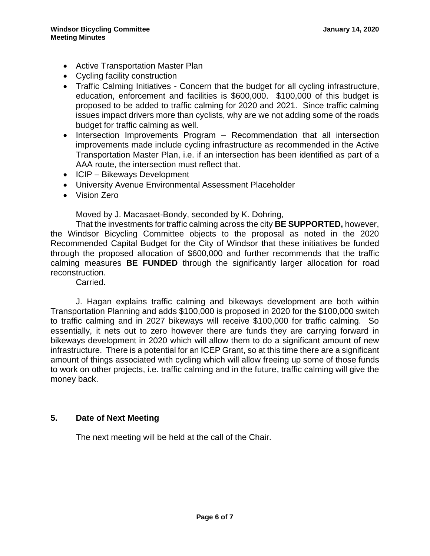- Active Transportation Master Plan
- Cycling facility construction
- Traffic Calming Initiatives Concern that the budget for all cycling infrastructure, education, enforcement and facilities is \$600,000. \$100,000 of this budget is proposed to be added to traffic calming for 2020 and 2021. Since traffic calming issues impact drivers more than cyclists, why are we not adding some of the roads budget for traffic calming as well.
- Intersection Improvements Program Recommendation that all intersection improvements made include cycling infrastructure as recommended in the Active Transportation Master Plan, i.e. if an intersection has been identified as part of a AAA route, the intersection must reflect that.
- ICIP Bikeways Development
- University Avenue Environmental Assessment Placeholder
- Vision Zero

Moved by J. Macasaet-Bondy, seconded by K. Dohring,

That the investments for traffic calming across the city **BE SUPPORTED,** however, the Windsor Bicycling Committee objects to the proposal as noted in the 2020 Recommended Capital Budget for the City of Windsor that these initiatives be funded through the proposed allocation of \$600,000 and further recommends that the traffic calming measures **BE FUNDED** through the significantly larger allocation for road reconstruction.

Carried.

J. Hagan explains traffic calming and bikeways development are both within Transportation Planning and adds \$100,000 is proposed in 2020 for the \$100,000 switch to traffic calming and in 2027 bikeways will receive \$100,000 for traffic calming. So essentially, it nets out to zero however there are funds they are carrying forward in bikeways development in 2020 which will allow them to do a significant amount of new infrastructure. There is a potential for an ICEP Grant, so at this time there are a significant amount of things associated with cycling which will allow freeing up some of those funds to work on other projects, i.e. traffic calming and in the future, traffic calming will give the money back.

#### **5. Date of Next Meeting**

The next meeting will be held at the call of the Chair.